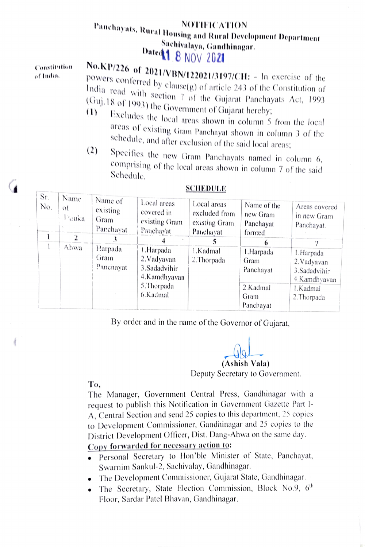## NOTIFICATION<br>
Sachivalaya, Gandhinagar.<br>
Dated 1 8 NOV 2021<br>
No.KP/226 of 2021/VBN/122021/3197/CH: - In exercise of the

Constitntion of Inda.

Powers conferred by clause(g) of article 243 of the Constitution of India read with section 7 of the Gujarat Panchayats Act, 1993  $(1)$  (Suj. 18 of 1993) the Government of Gujarat hereby;<br>(1) Excludes the local

- Excludes the local areas shown in column 5 from the local<br>areas of existing Gram Panchayat shown in column 3 of the
- schedule, and after exclusion of the said local areas;<br>
(2) Specifies the new Gram Panchayats named in column 6,<br>
comprising of the local areas shown in column 7 of the said<br>
Schedule.

| Sr.<br>No. | Name<br>оt<br>Fauka | Name of<br>existing<br>Gram<br>Panchayat | Local areas<br>covered in<br>existing Gram<br>Panchayat                              | Local areas<br>excluded from<br>existing Gram<br>Panchayat | Name of the<br>new Gram<br>Panchayat<br>formed<br>6 | Areas covered<br>in new Gram<br>Panchayat.                 |
|------------|---------------------|------------------------------------------|--------------------------------------------------------------------------------------|------------------------------------------------------------|-----------------------------------------------------|------------------------------------------------------------|
|            | Ahwa                | Harpada<br>Gram<br>Panchayat             | J .Harpada<br>2. Vadyavan<br>3.Sadadvihir<br>4.Kamdhyavan<br>5. Thorpada<br>6.Kadmal | 1.Kadmal<br>2.Thorpada                                     | 1.Harpada<br>Gram<br>Panchayat                      | 1.Harpada<br>2. Vadyavan<br>3. Sadadvihir<br>4. Kamdhyavan |
|            |                     |                                          |                                                                                      |                                                            | 2.Kadmal<br>Gram<br>Panchayat                       | 1.Kadmal<br>2. Thorpada                                    |

## SCHEDULE

By order and in the name of the Governor of Gujarat,

(Ashish Vala) Deputy Secretary to Government.

To

The Manager, Government Central Press, Gandhinagar with a request to publish this Notification in Government Gazette Part I-A, Central Section and send 25 copies to this department, 25 copies to Development Commissioner, Gandninagar and 25 copies to the District Development Officer, Dist. Dang-Ahwa on the same day.

Copy forwarded for necessary action to:

- Personal Secretary to Hon'ble Minister of State, Panchayat, Swarnim Sankul-2, Sachivalay, Gandhinagar.
- The Development Commissioner, Gujarat State, Gandhinagar.
- The Secretary, State Election Commission, Block No.9, 6<sup>th</sup> Floor, Sardar Patel Bhavan, Gandhinagar.